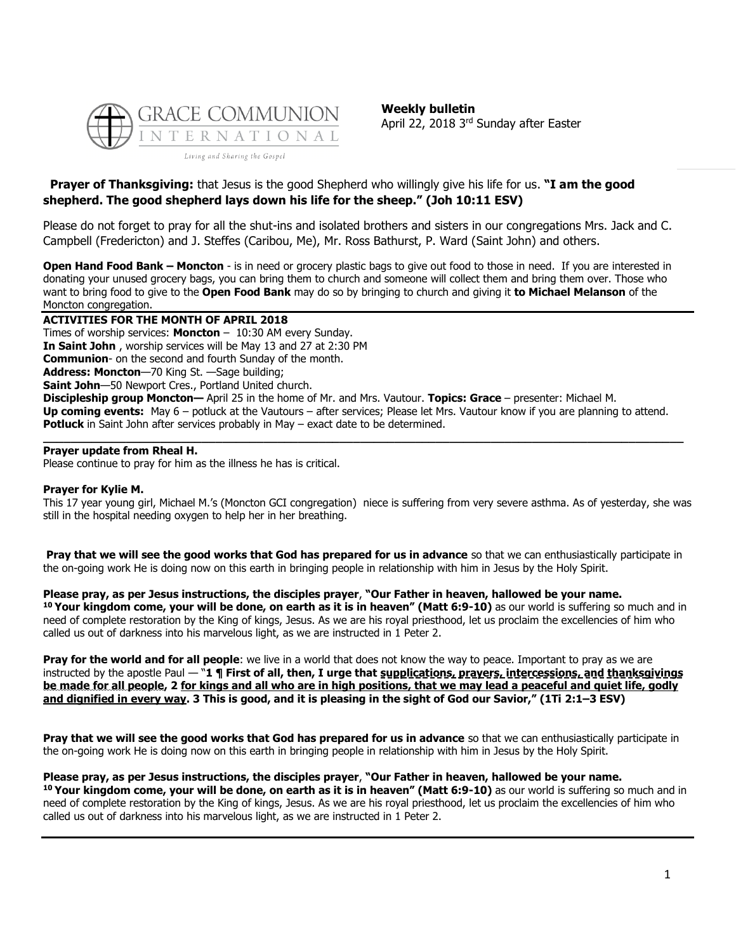

**Weekly bulletin** April 22, 2018 3<sup>rd</sup> Sunday after Easter

## **Prayer of Thanksgiving:** that Jesus is the good Shepherd who willingly give his life for us. **"I am the good shepherd. The good shepherd lays down his life for the sheep." (Joh 10:11 ESV)**

Please do not forget to pray for all the shut-ins and isolated brothers and sisters in our congregations Mrs. Jack and C. Campbell (Fredericton) and J. Steffes (Caribou, Me), Mr. Ross Bathurst, P. Ward (Saint John) and others.

**Open Hand Food Bank – Moncton** - is in need or grocery plastic bags to give out food to those in need. If you are interested in donating your unused grocery bags, you can bring them to church and someone will collect them and bring them over. Those who want to bring food to give to the **Open Food Bank** may do so by bringing to church and giving it **to Michael Melanson** of the Moncton congregation.

## **ACTIVITIES FOR THE MONTH OF APRIL 2018**

Times of worship services: **Moncton** – 10:30 AM every Sunday. **In Saint John** , worship services will be May 13 and 27 at 2:30 PM **Communion**- on the second and fourth Sunday of the month. **Address: Moncton**—70 King St. —Sage building; **Saint John**—50 Newport Cres., Portland United church. **Discipleship group Moncton—** April 25 in the home of Mr. and Mrs. Vautour. **Topics: Grace** – presenter: Michael M. **Up coming events:** May 6 – potluck at the Vautours – after services; Please let Mrs. Vautour know if you are planning to attend. **Potluck** in Saint John after services probably in May – exact date to be determined.

**\_\_\_\_\_\_\_\_\_\_\_\_\_\_\_\_\_\_\_\_\_\_\_\_\_\_\_\_\_\_\_\_\_\_\_\_\_\_\_\_\_\_\_\_\_\_\_\_\_\_\_\_\_\_\_\_\_\_\_\_\_\_\_\_\_\_\_\_\_\_\_\_\_\_\_\_\_\_\_\_\_\_\_\_\_\_\_\_\_\_\_\_\_**

#### **Prayer update from Rheal H.**

Please continue to pray for him as the illness he has is critical.

#### **Prayer for Kylie M.**

This 17 year young girl, Michael M.'s (Moncton GCI congregation) niece is suffering from very severe asthma. As of yesterday, she was still in the hospital needing oxygen to help her in her breathing.

**Pray that we will see the good works that God has prepared for us in advance** so that we can enthusiastically participate in the on-going work He is doing now on this earth in bringing people in relationship with him in Jesus by the Holy Spirit.

#### **Please pray, as per Jesus instructions, the disciples prayer**, **"Our Father in heaven, hallowed be your name.**

**<sup>10</sup> Your kingdom come, your will be done, on earth as it is in heaven" (Matt 6:9-10)** as our world is suffering so much and in need of complete restoration by the King of kings, Jesus. As we are his royal priesthood, let us proclaim the excellencies of him who called us out of darkness into his marvelous light, as we are instructed in 1 Peter 2.

**Pray for the world and for all people**: we live in a world that does not know the way to peace. Important to pray as we are instructed by the apostle Paul — "**1 ¶ First of all, then, I urge that supplications, prayers, intercessions, and thanksgivings be made for all people, 2 for kings and all who are in high positions, that we may lead a peaceful and quiet life, godly and dignified in every way. 3 This is good, and it is pleasing in the sight of God our Savior," (1Ti 2:1–3 ESV)**

**Pray that we will see the good works that God has prepared for us in advance** so that we can enthusiastically participate in the on-going work He is doing now on this earth in bringing people in relationship with him in Jesus by the Holy Spirit.

#### **Please pray, as per Jesus instructions, the disciples prayer**, **"Our Father in heaven, hallowed be your name.**

**<sup>10</sup> Your kingdom come, your will be done, on earth as it is in heaven" (Matt 6:9-10)** as our world is suffering so much and in need of complete restoration by the King of kings, Jesus. As we are his royal priesthood, let us proclaim the excellencies of him who called us out of darkness into his marvelous light, as we are instructed in 1 Peter 2.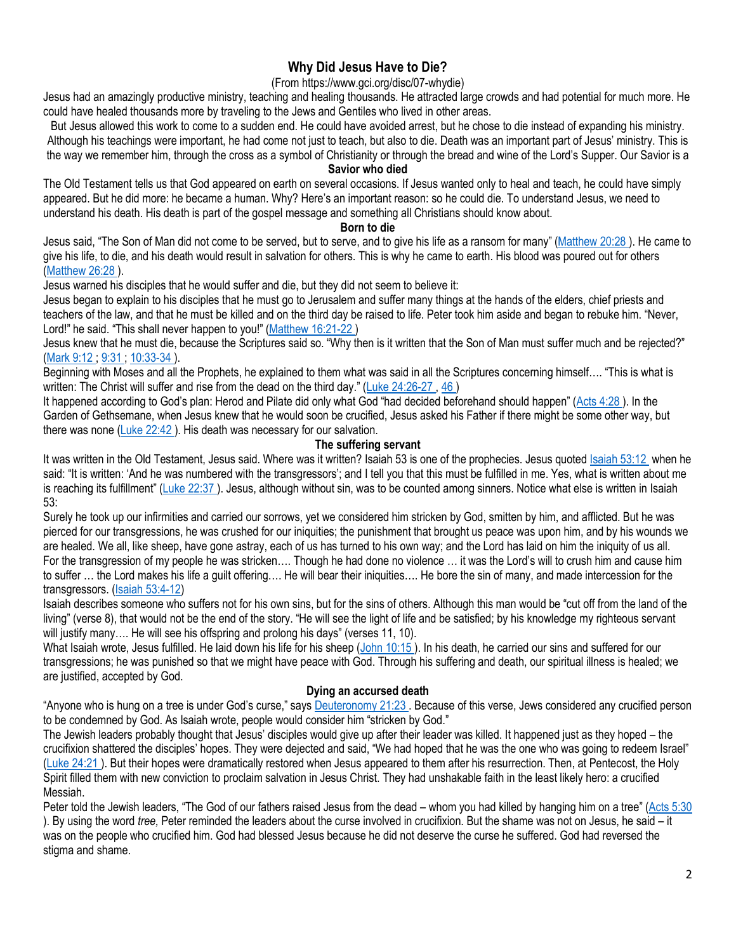# **Why Did Jesus Have to Die?**

## (From https://www.gci.org/disc/07-whydie)

Jesus had an amazingly productive ministry, teaching and healing thousands. He attracted large crowds and had potential for much more. He could have healed thousands more by traveling to the Jews and Gentiles who lived in other areas.

But Jesus allowed this work to come to a sudden end. He could have avoided arrest, but he chose to die instead of expanding his ministry. Although his teachings were important, he had come not just to teach, but also to die. Death was an important part of Jesus' ministry. This is the way we remember him, through the cross as a symbol of Christianity or through the bread and wine of the Lord's Supper. Our Savior is a

#### **Savior who died**

The Old Testament tells us that God appeared on earth on several occasions. If Jesus wanted only to heal and teach, he could have simply appeared. But he did more: he became a human. Why? Here's an important reason: so he could die. To understand Jesus, we need to understand his death. His death is part of the gospel message and something all Christians should know about.

#### **Born to die**

Jesus said, "The Son of Man did not come to be served, but to serve, and to give his life as a ransom for many" ([Matthew 20:28 \)](http://biblia.com/bible/niv/Matt%2020.28). He came to give his life, to die, and his death would result in salvation for others. This is why he came to earth. His blood was poured out for others [\(Matthew 26:28 \)](http://biblia.com/bible/niv/Matt%2026.28).

Jesus warned his disciples that he would suffer and die, but they did not seem to believe it:

Jesus began to explain to his disciples that he must go to Jerusalem and suffer many things at the hands of the elders, chief priests and teachers of the law, and that he must be killed and on the third day be raised to life. Peter took him aside and began to rebuke him. "Never, Lord!" he said. "This shall never happen to you!" (Matthew 16:21-22)

Jesus knew that he must die, because the Scriptures said so. "Why then is it written that the Son of Man must suffer much and be rejected?" [\(Mark 9:12 ;](http://biblia.com/bible/niv/Mark%209.12) [9:31 ;](http://biblia.com/bible/niv/Mark%209.31) [10:33-34 \)](http://biblia.com/bible/niv/Mark%2010.33-34).

Beginning with Moses and all the Prophets, he explained to them what was said in all the Scriptures concerning himself…. "This is what is written: The Christ will suffer and rise from the dead on the third day." (Luke 24:26-27, 46)

It happened according to God's plan: Herod and Pilate did only what God "had decided beforehand should happen" ([Acts 4:28 \)](http://biblia.com/bible/niv/Acts%204.28). In the Garden of Gethsemane, when Jesus knew that he would soon be crucified, Jesus asked his Father if there might be some other way, but there was none (Luke 22:42). His death was necessary for our salvation.

#### **The suffering servant**

It was written in the Old Testament, Jesus said. Where was it written? Isaiah 53 is one of the prophecies. Jesus quoted [Isaiah 53:12](http://biblia.com/bible/niv/Isa%2053.12) when he said: "It is written: 'And he was numbered with the transgressors'; and I tell you that this must be fulfilled in me. Yes, what is written about me is reaching its fulfillment" ([Luke 22:37 \)](http://biblia.com/bible/niv/Luke%2022.37). Jesus, although without sin, was to be counted among sinners. Notice what else is written in Isaiah 53:

Surely he took up our infirmities and carried our sorrows, yet we considered him stricken by God, smitten by him, and afflicted. But he was pierced for our transgressions, he was crushed for our iniquities; the punishment that brought us peace was upon him, and by his wounds we are healed. We all, like sheep, have gone astray, each of us has turned to his own way; and the Lord has laid on him the iniquity of us all. For the transgression of my people he was stricken…. Though he had done no violence … it was the Lord's will to crush him and cause him to suffer … the Lord makes his life a guilt offering…. He will bear their iniquities…. He bore the sin of many, and made intercession for the transgressors. [\(Isaiah 53:4-12\)](https://biblia.com/bible/niv/Isa%2053.4-12)

Isaiah describes someone who suffers not for his own sins, but for the sins of others. Although this man would be "cut off from the land of the living" (verse 8), that would not be the end of the story. "He will see the light of life and be satisfied; by his knowledge my righteous servant will justify many.... He will see his offspring and prolong his days" (verses 11, 10).

What Isaiah wrote, Jesus fulfilled. He laid down his life for his sheep (John 10:15). In his death, he carried our sins and suffered for our transgressions; he was punished so that we might have peace with God. Through his suffering and death, our spiritual illness is healed; we are justified, accepted by God.

#### **Dying an accursed death**

"Anyone who is hung on a tree is under God's curse," says **Deuteronomy 21:23**. Because of this verse, Jews considered any crucified person to be condemned by God. As Isaiah wrote, people would consider him "stricken by God."

The Jewish leaders probably thought that Jesus' disciples would give up after their leader was killed. It happened just as they hoped – the crucifixion shattered the disciples' hopes. They were dejected and said, "We had hoped that he was the one who was going to redeem Israel" [\(Luke 24:21 \)](http://biblia.com/bible/niv/Luke%2024.21). But their hopes were dramatically restored when Jesus appeared to them after his resurrection. Then, at Pentecost, the Holy Spirit filled them with new conviction to proclaim salvation in Jesus Christ. They had unshakable faith in the least likely hero: a crucified Messiah.

Peter told the Jewish leaders, "The God of our fathers raised Jesus from the dead – whom you had killed by hanging him on a tree" (Acts 5:30) ). By using the word *tree,* Peter reminded the leaders about the curse involved in crucifixion. But the shame was not on Jesus, he said – it was on the people who crucified him. God had blessed Jesus because he did not deserve the curse he suffered. God had reversed the stigma and shame.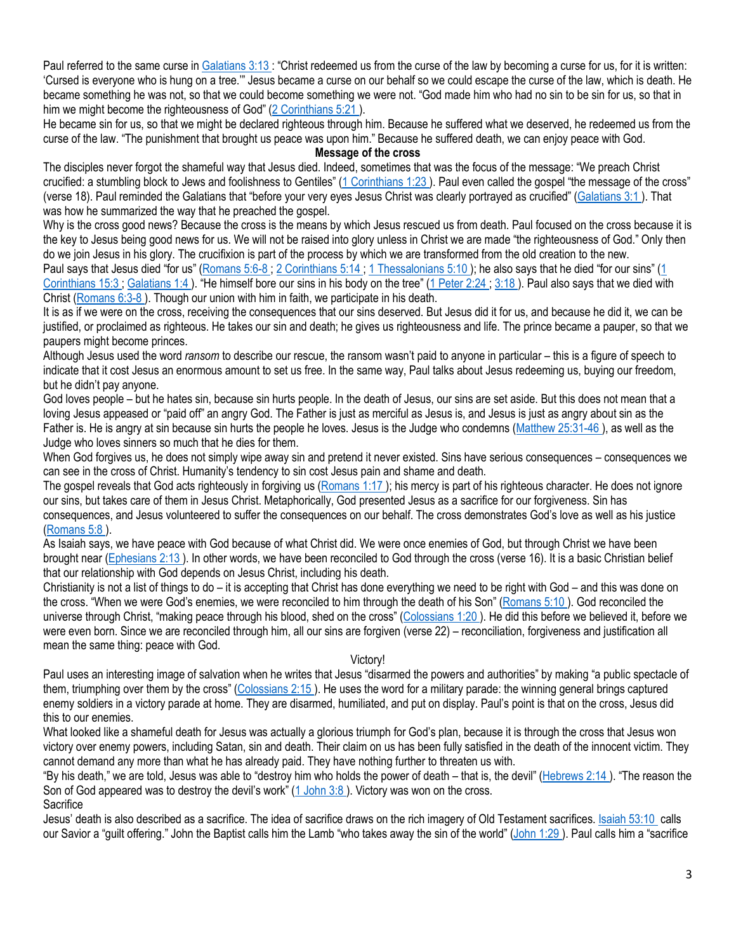Paul referred to the same curse in [Galatians 3:13](http://biblia.com/bible/niv/Gal%203.13) : "Christ redeemed us from the curse of the law by becoming a curse for us, for it is written: 'Cursed is everyone who is hung on a tree.'" Jesus became a curse on our behalf so we could escape the curse of the law, which is death. He became something he was not, so that we could become something we were not. "God made him who had no sin to be sin for us, so that in him we might become the righteousness of God" (2 Corinthians 5:21).

He became sin for us, so that we might be declared righteous through him. Because he suffered what we deserved, he redeemed us from the curse of the law. "The punishment that brought us peace was upon him." Because he suffered death, we can enjoy peace with God.

## **Message of the cross**

The disciples never forgot the shameful way that Jesus died. Indeed, sometimes that was the focus of the message: "We preach Christ crucified: a stumbling block to Jews and foolishness to Gentiles" ([1 Corinthians 1:23](http://biblia.com/bible/niv/1%20Cor%201.23) ). Paul even called the gospel "the message of the cross" (verse 18). Paul reminded the Galatians that "before your very eyes Jesus Christ was clearly portrayed as crucified" ([Galatians 3:1 \)](http://biblia.com/bible/niv/Gal%203.1). That was how he summarized the way that he preached the gospel.

Why is the cross good news? Because the cross is the means by which Jesus rescued us from death. Paul focused on the cross because it is the key to Jesus being good news for us. We will not be raised into glory unless in Christ we are made "the righteousness of God." Only then do we join Jesus in his glory. The crucifixion is part of the process by which we are transformed from the old creation to the new. Paul says that Jesus died "for us" ([Romans 5:6-8 ;](http://biblia.com/bible/niv/Rom%205.6-8) [2 Corinthians 5:14 ;](http://biblia.com/bible/niv/2%20Cor%205.14) [1 Thessalonians 5:10](http://biblia.com/bible/niv/1%20Thess%205.10) ); he also says that he died "for our sins" ([1](http://biblia.com/bible/niv/1%20Cor%2015.3)  Corinthians 15:3; Galatians 1:4). "He himself bore our sins in his body on the tree" (1 Peter 2:24; 3:18). Paul also says that we died with

Christ [\(Romans 6:3-8 \)](http://biblia.com/bible/niv/Rom%206.3-8). Though our union with him in faith, we participate in his death.

It is as if we were on the cross, receiving the consequences that our sins deserved. But Jesus did it for us, and because he did it, we can be justified, or proclaimed as righteous. He takes our sin and death; he gives us righteousness and life. The prince became a pauper, so that we paupers might become princes.

Although Jesus used the word *ransom* to describe our rescue, the ransom wasn't paid to anyone in particular – this is a figure of speech to indicate that it cost Jesus an enormous amount to set us free. In the same way, Paul talks about Jesus redeeming us, buying our freedom, but he didn't pay anyone.

God loves people – but he hates sin, because sin hurts people. In the death of Jesus, our sins are set aside. But this does not mean that a loving Jesus appeased or "paid off" an angry God. The Father is just as merciful as Jesus is, and Jesus is just as angry about sin as the Father is. He is angry at sin because sin hurts the people he loves. Jesus is the Judge who condemns [\(Matthew 25:31-46 \)](http://biblia.com/bible/niv/Matt%2025.31-46), as well as the Judge who loves sinners so much that he dies for them.

When God forgives us, he does not simply wipe away sin and pretend it never existed. Sins have serious consequences – consequences we can see in the cross of Christ. Humanity's tendency to sin cost Jesus pain and shame and death.

The gospel reveals that God acts righteously in forgiving us (Romans 1:17); his mercy is part of his righteous character. He does not ignore our sins, but takes care of them in Jesus Christ. Metaphorically, God presented Jesus as a sacrifice for our forgiveness. Sin has consequences, and Jesus volunteered to suffer the consequences on our behalf. The cross demonstrates God's love as well as his justice [\(Romans 5:8 \)](http://biblia.com/bible/niv/Rom%205.8).

As Isaiah says, we have peace with God because of what Christ did. We were once enemies of God, but through Christ we have been brought near [\(Ephesians 2:13 \)](http://biblia.com/bible/niv/Eph%202.13). In other words, we have been reconciled to God through the cross (verse 16). It is a basic Christian belief that our relationship with God depends on Jesus Christ, including his death.

Christianity is not a list of things to do – it is accepting that Christ has done everything we need to be right with God – and this was done on the cross. "When we were God's enemies, we were reconciled to him through the death of his Son" ([Romans 5:10 \)](http://biblia.com/bible/niv/Rom%205.10). God reconciled the universe through Christ, "making peace through his blood, shed on the cross" ([Colossians 1:20 \)](http://biblia.com/bible/niv/Col%201.20). He did this before we believed it, before we were even born. Since we are reconciled through him, all our sins are forgiven (verse 22) – reconciliation, forgiveness and justification all mean the same thing: peace with God.

#### Victory!

Paul uses an interesting image of salvation when he writes that Jesus "disarmed the powers and authorities" by making "a public spectacle of them, triumphing over them by the cross" ([Colossians 2:15 \)](http://biblia.com/bible/niv/Col%202.15). He uses the word for a military parade: the winning general brings captured enemy soldiers in a victory parade at home. They are disarmed, humiliated, and put on display. Paul's point is that on the cross, Jesus did this to our enemies.

What looked like a shameful death for Jesus was actually a glorious triumph for God's plan, because it is through the cross that Jesus won victory over enemy powers, including Satan, sin and death. Their claim on us has been fully satisfied in the death of the innocent victim. They cannot demand any more than what he has already paid. They have nothing further to threaten us with.

"By his death," we are told, Jesus was able to "destroy him who holds the power of death – that is, the devil" ([Hebrews 2:14 \)](http://biblia.com/bible/niv/Heb%202.14). "The reason the Son of God appeared was to destroy the devil's work" (1 John 3:8). Victory was won on the cross.

**Sacrifice** 

Jesus' death is also described as a sacrifice. The idea of sacrifice draws on the rich imagery of Old Testament sacrifices. [Isaiah 53:10](http://biblia.com/bible/niv/Isa%2053.10) calls our Savior a "guilt offering." John the Baptist calls him the Lamb "who takes away the sin of the world" ([John 1:29](http://biblia.com/bible/niv/John%201.29) ). Paul calls him a "sacrifice